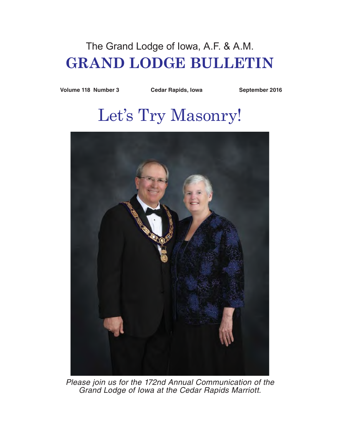# The Grand Lodge of Iowa, A.F. & A.M. **GRAND LODGE BULLETIN**

Volume 118 Number 3 Cedar Rapids, Iowa September 2016

# Let's Try Masonry!



*Please join us for the 172nd Annual Communication of the Grand Lodge of Iowa at the Cedar Rapids Marriott.*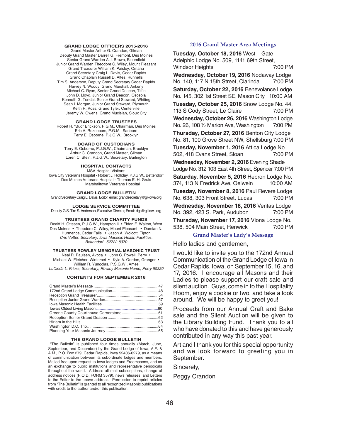#### **GRAND LODGE OFFICERS 2015-2016** Grand Master Arthur G. Crandon, Gilman

Deputy Grand Master Darrell G. Fremont, Des Moines Senior Grand Warden A.J. Brown, Bloomfield Junior Grand Warden Theodore C. Wiley, Mount Pleasant Grand Treasurer William K. Paisley, Omaha Grand Secretary Craig L. Davis, Cedar Rapids Grand Chaplain Russell D. Altes, Runnells Tim S. Anderson, Deputy Grand Secretary Cedar Rapids Harvey N. Woody, Grand Marshall, Ankeny Michael C. Ryan, Senior Grand Deacon, Tiffin John D. Lloyd, Junior Grand Deacon, Osceola Kenneth G. Tendal, Senior Grand Steward, Whiting Sean I. Morgan, Junior Grand Steward, Plymouth Keith R. Voss, Grand Tyler, Centerville Jeremy W. Owens, Grand Mucisian, Sioux City

#### **GRAND LODGE TRUSTEES**

Robert H. "Bud" Erickson, P.G.M., Chairman, Des Moines Eric A. Rozeboom, P.G.M., Sanborn Terry E. Osborne, P.J.G.W., Brooklyn

**BOARD OF CUSTODIANS**

Terry E. Osborne, P.J.G.W., Chairman, Brooklyn Arthur G. Crandon, Grand Master, Gilman Loren C. Stein, P.J.G.W., Secretary, Burlington

**HOSPITAL CONTACTS** MSA Hospital Visitors: Iowa City Veterans Hospital - Robert J. Holliday, P.J.G.W., Bettendorf Des Moines Veterans Hospital - Thomas E. H. Gruis

**GRAND LODGE BULLETIN**

Grand Secretary Craig L. Davis, Editor, email: grandsecretary@gl-iowa.org

Marshalltown Veterans Hospital

**LODGE SERVICE COMMITTEE** Deputy G.S. Tim S. Anderson, Executive Director, Email: dgs@gl-iowa.org

#### **TRUSTEES GRAND CHARITY FUNDS**

Realff H. Ottesen, P.J.G.W., Hampton IL • Eldon F. Walton, West Des Moines • Theodore C. Wiley, Mount Pleasant • Damian N. Hurmence, Cedar Falls • Jason A. Wolcott, Tipton *Cris Vetter, Secretary, Iowa Masonic Health Facilities, Bettendorf 52722-8370*

#### **TRUSTEES ROWLEY MEMORIAL MASONIC TRUST**

Neal R. Paulsen, Avoca • John C. Powell, Perry • Michael W. Fletcher, Winterset • Kyle A. Gordon, Granger • William R. Yungclas, P.S.G.W., Ames *LuCinda L. Friess, Secretary, Rowley Masonic Home, Perry 50220*

#### **CONTENTS FOR SEPTEMBER 2016**

#### **THE GRAND LODGE BULLETIN**

"The Bulletin" is published four times annually (March, June, September, and December) by the Grand Lodge of Iowa, A.F. & A.M., P.O. Box 279, Cedar Rapids, Iowa 52406-0279, as a means of communication between its subordinate lodges and members. Mailed free upon request to Iowa lodges and Freemasons, and as an exchange to public institutions and representative periodicals throughout the world. Address all mail subscriptions, change of address notices (P.O.D. FORM 3579), news releases and Letters to the Editor to the above address. Permission to reprint articles from "The Bulletin" is granted to all recognized Masonic publications with credit to the author and/or this publication.

#### **2016 Grand Master Area Meetings**

**Tuesday, October 18, 2016** West – Gate Adelphic Lodge No. 509, 1141 69th Street, Windsor Heights 7:00 PM **Wednesday, October 19, 2016** Nodaway Lodge No. 140, 117 N 15th Street, Clarinda 7:00 PM **Saturday, October 22, 2016** Benevolance Lodge No. 145, 302 1st Street SE, Mason City 10:00 AM **Tuesday, October 25, 2016** Snow Lodge No. 44, 113 S Cody Street, Le Claire 7:00 PM **Wednesday, October 26, 2016** Washington Lodge No. 26, 108 1/2 Marion Ave, Washington 7:00 PM **Thursday, October 27, 2016** Benton City Lodge No. 81, 100 Grove Street NW, Shellsburg 7:00 PM **Tuesday, November 1, 2016** Attica Lodge No. 502, 418 Evans Street, Sloan 7:00 PM **Wednesday, November 2, 2016** Evening Shade Lodge No. 312 103 East 4th Street, Spencer 7:00 PM

**Saturday, November 5, 2016** Hebron Lodge No. 374, 113 N Fredrick Ave, Oelwein 10:00 AM

**Tuesday, November 8, 2016** Paul Revere Lodge No. 638, 303 Front Street, Lucas 7:00 PM

**Wednesday, November 16, 2016** Veritas Lodge No. 392, 423 S. Park, Audubon 7:00 PM **Thursday, November 17, 2016** Viona Lodge No. 538, 504 Main Street, Renwick 7:00 PM

# **Grand Master's Lady's Message**

Hello ladies and gentlemen,

I would like to invite you to the 172nd Annual Communication of the Grand Lodge of Iowa in Cedar Rapids, Iowa, on September 15, 16, and 17, 2016. I encourage all Masons and their Ladies to please support our craft sale and silent auction. Guys, come in to the Hospitality Room, enjoy a cookie or two, and take a look around. We will be happy to greet you!

Proceeds from our Annual Craft and Bake sale and the Silent Auction will be given to the Library Building Fund. Thank you to all who have donated to this and have generously contributed in any way this past year.

Art and I thank you for this special opportunity and we look forward to greeting you in September.

Sincerely,

Peggy Crandon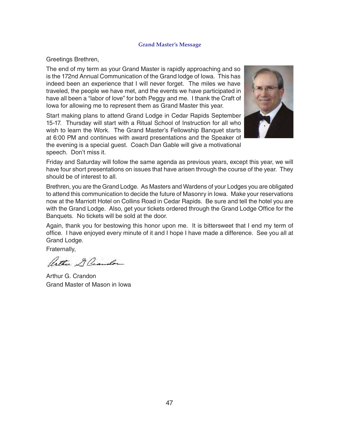# **Grand Master's Message**

# Greetings Brethren,

The end of my term as your Grand Master is rapidly approaching and so is the 172nd Annual Communication of the Grand lodge of Iowa. This has indeed been an experience that I will never forget. The miles we have traveled, the people we have met, and the events we have participated in have all been a "labor of love" for both Peggy and me. I thank the Craft of Iowa for allowing me to represent them as Grand Master this year.

Start making plans to attend Grand Lodge in Cedar Rapids September 15-17. Thursday will start with a Ritual School of Instruction for all who wish to learn the Work. The Grand Master's Fellowship Banquet starts at 6:00 PM and continues with award presentations and the Speaker of the evening is a special guest. Coach Dan Gable will give a motivational speech. Don't miss it.



Friday and Saturday will follow the same agenda as previous years, except this year, we will have four short presentations on issues that have arisen through the course of the year. They should be of interest to all.

Brethren, you are the Grand Lodge. As Masters and Wardens of your Lodges you are obligated to attend this communication to decide the future of Masonry in Iowa. Make your reservations now at the Marriott Hotel on Collins Road in Cedar Rapids. Be sure and tell the hotel you are with the Grand Lodge. Also, get your tickets ordered through the Grand Lodge Office for the Banquets. No tickets will be sold at the door.

Again, thank you for bestowing this honor upon me. It is bittersweet that I end my term of office. I have enjoyed every minute of it and I hope I have made a difference. See you all at Grand Lodge.

Fraternally,

Arthur & Crandon

Arthur G. Crandon Grand Master of Mason in Iowa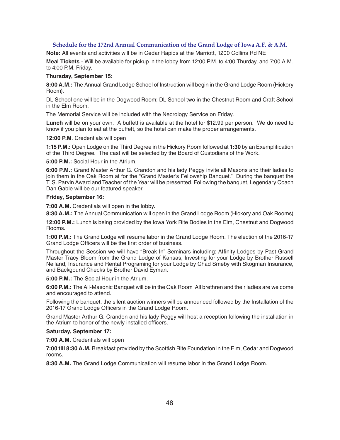# **Schedule for the 172nd Annual Communication of the Grand Lodge of Iowa A.F. & A.M.**

**Note:** All events and activities will be in Cedar Rapids at the Marriott, 1200 Collins Rd NE

**Meal Tickets** - Will be available for pickup in the lobby from 12:00 P.M. to 4:00 Thurday, and 7:00 A.M. to 4:00 P.M. Friday.

# **Thursday, September 15:**

**8:00 A.M.:** The Annual Grand Lodge School of Instruction will begin in the Grand Lodge Room (Hickory Room).

DL School one will be in the Dogwood Room; DL School two in the Chestnut Room and Craft School in the Elm Room.

The Memorial Service will be included with the Necrology Service on Friday.

**Lunch** will be on your own. A buffett is available at the hotel for \$12.99 per person. We do need to know if you plan to eat at the buffett, so the hotel can make the proper arrangements.

**12:00 P.M**. Credentials will open

**1:15 P.M.:** Open Lodge on the Third Degree in the Hickory Room followed at **1:30** by an Exemplification of the Third Degree. The cast will be selected by the Board of Custodians of the Work.

**5:00 P.M.:** Social Hour in the Atrium.

**6:00 P.M.:** Grand Master Arthur G. Crandon and his lady Peggy invite all Masons and their ladies to join them in the Oak Room at for the "Grand Master's Fellowship Banquet." During the banquet the T. S. Parvin Award and Teacher of the Year will be presented. Following the banquet, Legendary Coach Dan Gable will be our featured speaker.

# **Friday, September 16:**

**7:00 A.M.** Credentials will open in the lobby.

**8:30 A.M.:** The Annual Communication will open in the Grand Lodge Room (Hickory and Oak Rooms)

**12:00 P.M.:** Lunch is being provided by the Iowa York Rite Bodies in the Elm, Chestnut and Dogwood Rooms.

**1:00 P.M.:** The Grand Lodge will resume labor in the Grand Lodge Room. The election of the 2016-17 Grand Lodge Officers will be the first order of business.

Throughout the Session we will have "Break In" Seminars including: Affinity Lodges by Past Grand Master Tracy Bloom from the Grand Lodge of Kansas, Investing for your Lodge by Brother Russell Neiland, Insurance and Rental Programing for your Lodge by Chad Smeby with Skogman Insurance, and Backgound Checks by Brother David Eyman.

**5:00 P.M.:** The Social Hour in the Atrium.

**6:00 P.M.:** The All-Masonic Banquet will be in the Oak Room All brethren and their ladies are welcome and encouraged to attend.

Following the banquet, the silent auction winners will be announced followed by the Installation of the 2016-17 Grand Lodge Officers in the Grand Lodge Room.

Grand Master Arthur G. Crandon and his lady Peggy will host a reception following the installation in the Atrium to honor of the newly installed officers.

# **Saturday, September 17:**

**7:00 A.M.** Credentials will open

**7:00 till 8:30 A.M.** Breakfast provided by the Scottish Rite Foundation in the Elm, Cedar and Dogwood rooms.

**8:30 A.M.** The Grand Lodge Communication will resume labor in the Grand Lodge Room.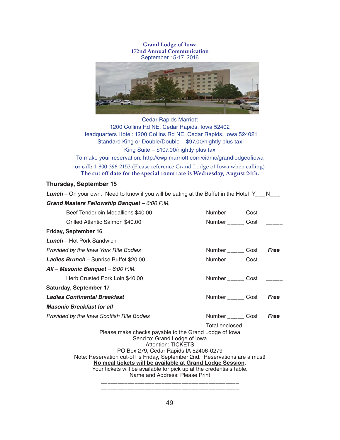**Grand Lodge of Iowa 172nd Annual Communication** September 15-17, 2016



Cedar Rapids Marriott 1200 Collins Rd NE, Cedar Rapids, Iowa 52402 Headquarters Hotel: 1200 Collins Rd NE, Cedar Rapids, Iowa 524021 Standard King or Double/Double – \$97.00/nightly plus tax King Suite – \$107.00/nightly plus tax

To make your reservation: http://cwp.marriott.com/cidmc/grandlodgeofiowa **or call:** 1-800-396-2153 (Please reference Grand Lodge of Iowa when calling) **The cut off date for the special room rate is Wednesday, August 24th.**

# **Thursday, September 15**

| <b>Lunch</b> – On your own. Need to know if you will be eating at the Buffet in the Hotel $Y_{\text{max}}N_{\text{max}}$                                                                                                                            |                                 |  |      |  |  |
|-----------------------------------------------------------------------------------------------------------------------------------------------------------------------------------------------------------------------------------------------------|---------------------------------|--|------|--|--|
| Grand Masters Fellowship Banquet - 6:00 P.M.                                                                                                                                                                                                        |                                 |  |      |  |  |
| Beef Tenderloin Medallions \$40.00                                                                                                                                                                                                                  | Number _______ Cost ______      |  |      |  |  |
| Grilled Atlantic Salmon \$40.00                                                                                                                                                                                                                     | Number ______ Cost _____        |  |      |  |  |
| <b>Friday, September 16</b>                                                                                                                                                                                                                         |                                 |  |      |  |  |
| <b>Lunch</b> – Hot Pork Sandwich                                                                                                                                                                                                                    |                                 |  |      |  |  |
| Provided by the Iowa York Rite Bodies                                                                                                                                                                                                               | Number ______ Cost              |  | Free |  |  |
| <b>Ladies Brunch</b> – Sunrise Buffet \$20.00                                                                                                                                                                                                       | Number ______ Cost              |  |      |  |  |
| All - Masonic Banquet - 6:00 P.M.                                                                                                                                                                                                                   |                                 |  |      |  |  |
| Herb Crusted Pork Loin \$40.00                                                                                                                                                                                                                      | Number ______ Cost              |  |      |  |  |
| <b>Saturday, September 17</b>                                                                                                                                                                                                                       |                                 |  |      |  |  |
| <b>Ladies Continental Breakfast</b>                                                                                                                                                                                                                 | Number <sub>____</sub> ___ Cost |  | Free |  |  |
| <b>Masonic Breakfast for all</b>                                                                                                                                                                                                                    |                                 |  |      |  |  |
| Provided by the Iowa Scottish Rite Bodies                                                                                                                                                                                                           | Number _______ Cost             |  | Free |  |  |
|                                                                                                                                                                                                                                                     | Total enclosed ________         |  |      |  |  |
| Please make checks payable to the Grand Lodge of Iowa<br>Send to: Grand Lodge of Iowa<br><b>Attention: TICKETS</b><br>PO Box 279, Cedar Rapids IA 52406-0279                                                                                        |                                 |  |      |  |  |
| Note: Reservation cut-off is Friday, September 2nd. Reservations are a must!<br>No meal tickets will be available at Grand Lodge Session.<br>Your tickets will be available for pick up at the credentials table.<br>Name and Address: Please Print |                                 |  |      |  |  |
|                                                                                                                                                                                                                                                     |                                 |  |      |  |  |

\_\_\_\_\_\_\_\_\_\_\_\_\_\_\_\_\_\_\_\_\_\_\_\_\_\_\_\_\_\_\_\_\_\_\_\_\_\_\_\_\_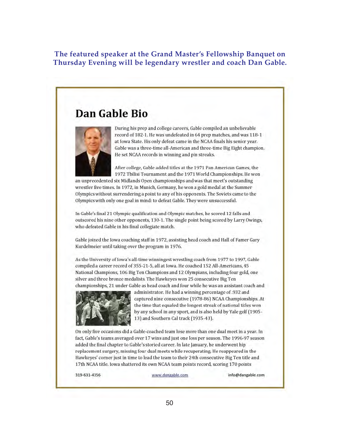**The featured speaker at the Grand Master's Fellowship Banquet on Thursday Evening will be legendary wrestler and coach Dan Gable.**

# Dan Gable Bio



During his prep and college careers, Gable compiled an unbelievable record of 182-1. He was undefeated in 64 prep matches, and was 118-1 at Iowa State. His only defeat came in the NCAA finals his senior year. Gable was a three-time all-American and three-time Big Eight champion. He set NCAA records in winning and pin streaks.

After college, Gable added titles at the 1971 Pan American Games, the 1972 Tbilisi Tournament and the 1971 World Championships. He won

an unprecedented six Midlands Open championships and was that meet's outstanding wrestler five times. In 1972, in Munich, Germany, he won a gold medal at the Summer Olympics without surrendering a point to any of his opponents. The Soviets came to the Olympics with only one goal in mind: to defeat Gable. They were unsuccessful.

In Gable's final 21 Olympic qualification and Olympic matches, he scored 12 falls and outscored his nine other opponents, 130-1. The single point being scored by Larry Owings, who defeated Gable in his final collegiate match.

Gable joined the Iowa coaching staff in 1972, assisting head coach and Hall of Famer Gary Kurdelmeier until taking over the program in 1976.

As the University of Iowa's all-time winningest wrestling coach from 1977 to 1997, Gable compiled a career record of 355-21-5, all at Iowa. He coached 152 All-Americans, 45 National Champions, 106 Big Ten Champions and 12 Olympians, including four gold, one silver and three bronze medalists. The Hawkeyes won 25 consecutive Big Ten championships, 21 under Gable as head coach and four while he was an assistant coach and



administrator. He had a winning percentage of .932 and captured nine consecutive (1978-86) NCAA Championships. At the time that equaled the longest streak of national titles won by any school in any sport, and is also held by Yale golf (1905-13) and Southern Cal track (1935-43).

On only five occasions did a Gable-coached team lose more than one dual meet in a year. In fact, Gable's teams averaged over 17 wins and just one loss per season. The 1996-97 season added the final chapter to Gable's storied career. In late January, he underwent hip replacement surgery, missing four dual meets while recuperating. He reappeared in the Hawkeyes' corner just in time to lead the team to their 24th consecutive Big Ten title and 17th NCAA title. Iowa shattered its own NCAA team points record, scoring 170 points

319-631-4356

www.dangable.com

info@dangable.com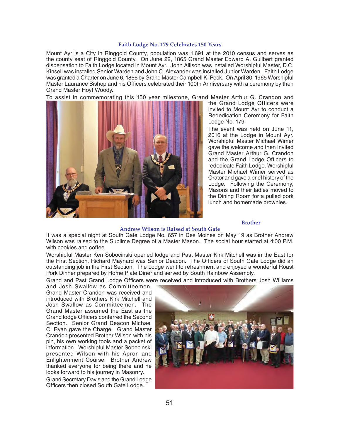#### **Faith Lodge No. 179 Celebrates 150 Years**

Mount Ayr is a City in Ringgold County, population was 1,691 at the 2010 census and serves as the county seat of Ringgold County. On June 22, 1865 Grand Master Edward A. Guilbert granted dispensation to Faith Lodge located in Mount Ayr. John Allison was installed Worshipful Master, D.C. Kinsell was installed Senior Warden and John C. Alexander was installed Junior Warden. Faith Lodge was granted a Charter on June 6, 1866 by Grand Master Campbell K. Peck. On April 30, 1965 Worshipful Master Laurance Bishop and his Officers celebrated their 100th Anniversary with a ceremony by then Grand Master Hoyt Woody.

To assist in commemorating this 150 year milestone, Grand Master Arthur G. Crandon and



the Grand Lodge Officers were invited to Mount Ayr to conduct a Rededication Ceremony for Faith Lodge No. 179.

The event was held on June 11, 2016 at the Lodge in Mount Ayr. Worshipful Master Michael Wimer gave the welcome and then Invited Grand Master Arthur G. Crandon and the Grand Lodge Officers to rededicate Faith Lodge. Worshipful Master Michael Wimer served as Orator and gave a brief history of the Lodge. Following the Ceremony, Masons and their ladies moved to the Dining Room for a pulled pork lunch and homemade brownies.

# **Brother**

#### **Andrew Wilson is Raised at South Gate**

It was a special night at South Gate Lodge No. 657 in Des Moines on May 19 as Brother Andrew Wilson was raised to the Sublime Degree of a Master Mason. The social hour started at 4:00 P.M. with cookies and coffee.

Worshipful Master Ken Sobocinski opened lodge and Past Master Kirk Mitchell was in the East for the First Section, Richard Maynard was Senior Deacon. The Officers of South Gate Lodge did an outstanding job in the First Section. The Lodge went to refreshment and enjoyed a wonderful Roast Pork Dinner prepared by Home Plate Diner and served by South Rainbow Assembly.

Grand and Past Grand Lodge Officers were received and introduced with Brothers Josh Williams

and Josh Swallow as Committeemen. Grand Master Crandon was received and introduced with Brothers Kirk Mitchell and Josh Swallow as Committeemen. The Grand Master assumed the East as the Grand lodge Officers conferred the Second Section. Senior Grand Deacon Michael C. Ryan gave the Charge. Grand Master Crandon presented Brother Wilson with his pin, his own working tools and a packet of information. Worshipful Master Sobocinski presented Wilson with his Apron and Enlightenment Course. Brother Andrew thanked everyone for being there and he looks forward to his journey in Masonry. Grand Secretary Davis and the Grand Lodge Officers then closed South Gate Lodge.

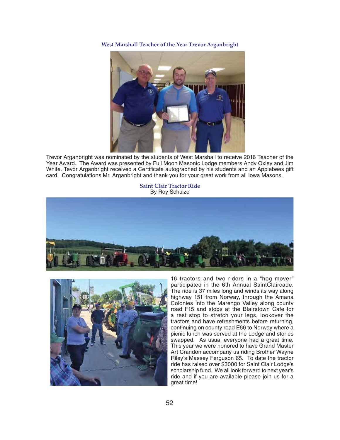**West Marshall Teacher of the Year Trevor Arganbright**



Trevor Arganbright was nominated by the students of West Marshall to receive 2016 Teacher of the Year Award. The Award was presented by Full Moon Masonic Lodge members Andy Oxley and Jim White. Tevor Arganbright received a Certificate autographed by his students and an Applebees gift card. Congratulations Mr. Arganbright and thank you for your great work from all Iowa Masons.

#### **Saint Clair Tractor Ride** By Roy Schulze





 16 tractors and two riders in a "hog mover" participated in the 6th Annual SaintClaircade. The ride is 37 miles long and winds its way along highway 151 from Norway, through the Amana Colonies into the Marengo Valley along county road F15 and stops at the Blairstown Cafe for a rest stop to stretch your legs, lookover the tractors and have refreshments before returning, continuing on county road E66 to Norway where a picnic lunch was served at the Lodge and stories swapped. As usual everyone had a great time. This year we were honored to have Grand Master Art Crandon accompany us riding Brother Wayne Riley's Massey Ferguson 65. To date the tractor ride has raised over \$3000 for Saint Clair Lodge's scholarship fund. We all look forward to next year's ride and if you are available please join us for a great time!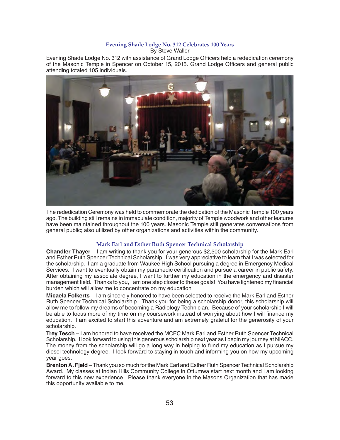#### **Evening Shade Lodge No. 312 Celebrates 100 Years** By Steve Waller

Evening Shade Lodge No. 312 with assistance of Grand Lodge Officers held a rededication ceremony of the Masonic Temple in Spencer on October 15, 2015. Grand Lodge Officers and general public attending totaled 105 individuals.



The rededication Ceremony was held to commemorate the dedication of the Masonic Temple 100 years ago. The building still remains in immaculate condition, majority of Temple woodwork and other features have been maintained throughout the 100 years. Masonic Temple still generates conversations from general public; also utilized by other organizations and activities within the community.

# **Mark Earl and Esther Ruth Spencer Technical Scholarship**

**Chandler Thayer** – I am writing to thank you for your generous \$2,500 scholarship for the Mark Earl and Esther Ruth Spencer Technical Scholarship. I was very appreciative to learn that I was selected for the scholarship. I am a graduate from Waukee High School pursuing a degree in Emergency Medical Services. I want to eventually obtain my paramedic certification and pursue a career in public safety. After obtaining my associate degree, I want to further my education in the emergency and disaster management field. Thanks to you, I am one step closer to these goals! You have lightened my financial burden which will allow me to concentrate on my education

**Micaela Folkerts** – I am sincerely honored to have been selected to receive the Mark Earl and Esther Ruth Spencer Technical Scholarship. Thank you for being a scholarship donor, this scholarship will allow me to follow my dreams of becoming a Radiology Technician. Because of your scholarship I will be able to focus more of my time on my coursework instead of worrying about how I will finance my education. I am excited to start this adventure and am extremely grateful for the generosity of your scholarship.

**Trey Tesch** – I am honored to have received the MCEC Mark Earl and Esther Ruth Spencer Technical Scholarship. I look forward to using this generous scholarship next year as I begin my journey at NIACC. The money from the scholarship will go a long way in helping to fund my education as I pursue my diesel technology degree. I look forward to staying in touch and informing you on how my upcoming year goes.

**Brenton A. Fjeld** – Thank you so much for the Mark Earl and Esther Ruth Spencer Technical Scholarship Award. My classes at Indian Hills Community College in Ottumwa start next month and I am looking forward to this new experience. Please thank everyone in the Masons Organization that has made this opportunity available to me.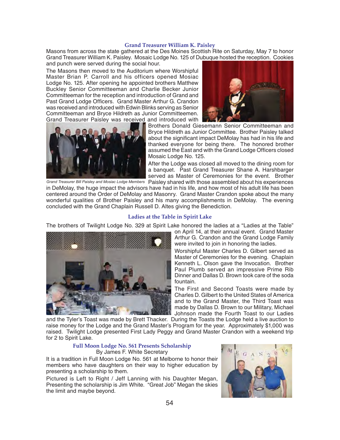# **Grand Treasurer William K. Paisley**

Masons from across the state gathered at the Des Moines Scottish Rite on Saturday, May 7 to honor Grand Treasurer William K. Paisley. Mosaic Lodge No. 125 of Dubuque hosted the reception. Cookies and punch were served during the social hour.

The Masons then moved to the Auditorium where Worshipful Master Brian P. Carroll and his officers opened Mosiac Lodge No. 125. After opening he appointed brothers Matthew Buckley Senior Committeeman and Charlie Becker Junior Committeeman for the reception and introduction of Grand and Past Grand Lodge Officers. Grand Master Arthur G. Crandon was received and introduced with Edwin Blinks serving as Senior Committeeman and Bryce Hildreth as Junior Committeemen. Grand Treasurer Paisley was received and introduced with





Brothers Donald Giesemann Senior Committeeman and Bryce Hildreth as Junior Committee. Brother Paisley talked about the significant impact DeMolay has had in his life and thanked everyone for being there. The honored brother assumed the East and with the Grand Lodge Officers closed Mosaic Lodge No. 125.

After the Lodge was closed all moved to the dining room for a banquet. Past Grand Treasurer Shane A. Harshbarger served as Master of Ceremonies for the event. Brother

Grand Treasurer Bill Paisley and Mosiac Lodge Members Paisley shared with those assembled about his experiences in DeMolay, the huge impact the advisors have had in his life, and how most of his adult life has been centered around the Order of DeMolay and Masonry. Grand Master Crandon spoke about the many wonderful qualities of Brother Paisley and his many accomplishments in DeMolay. The evening concluded with the Grand Chaplain Russell D. Altes giving the Benediction.

# **Ladies at the Table in Spirit Lake**

The brothers of Twilight Lodge No. 329 at Spirit Lake honored the ladies at a "Ladies at the Table"



on April 14, at their annual event. Grand Master Arthur G. Crandon and the Grand Lodge Family were invited to join in honoring the ladies.

Worshipful Master Charles D. Gilbert served as Master of Ceremonies for the evening. Chaplain Kenneth L. Olson gave the Invocation. Brother Paul Plumb served an impressive Prime Rib Dinner and Dallas D. Brown took care of the soda fountain.

The First and Second Toasts were made by Charles D. Gilbert to the United States of America and to the Grand Master, the Third Toast was made by Dallas D. Brown to our Military, Michael Johnson made the Fourth Toast to our Ladies

and the Tyler's Toast was made by Brett Thacker. During the Toasts the Lodge held a live auction to raise money for the Lodge and the Grand Master's Program for the year. Approximately \$1,000 was raised. Twilight Lodge presented First Lady Peggy and Grand Master Crandon with a weekend trip for 2 to Spirit Lake.

# **Full Moon Lodge No. 561 Presents Scholarship** By James F. White Secretary

It is a tradition in Full Moon Lodge No. 561 at Melborne to honor their members who have daughters on their way to higher education by presenting a scholarship to them.

Pictured is Left to Right / Jeff Lanning with his Daughter Megan, Presenting the scholarship is Jim White. "Great Job" Megan the skies the limit and maybe beyond.

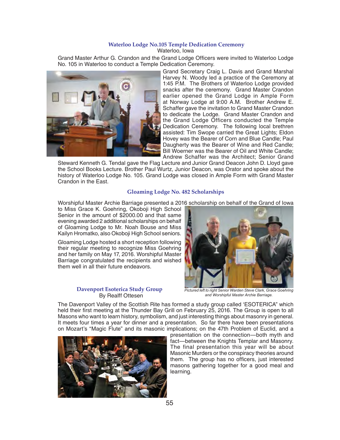#### **Waterloo Lodge No.105 Temple Dedication Ceremony** Waterloo, Iowa

Grand Master Arthur G. Crandon and the Grand Lodge Officers were invited to Waterloo Lodge No. 105 in Waterloo to conduct a Temple Dedication Ceremony.



Grand Secretary Craig L. Davis and Grand Marshal Harvey N. Woody led a practice of the Ceremony at 1:45 P.M. The Brothers of Waterloo Lodge provided snacks after the ceremony. Grand Master Crandon earlier opened the Grand Lodge in Ample Form at Norway Lodge at 9:00 A.M. Brother Andrew E. Schaffer gave the invitation to Grand Master Crandon to dedicate the Lodge. Grand Master Crandon and the Grand Lodge Officers conducted the Temple Dedication Ceremony. The following local brethren assisted: Tim Swope carried the Great Lights; Eldon Hovey was the Bearer of Corn and Blue Candle; Paul Daugherty was the Bearer of Wine and Red Candle; Bill Woerner was the Bearer of Oil and White Candle; Andrew Schaffer was the Architect; Senior Grand

Steward Kenneth G. Tendal gave the Flag Lecture and Junior Grand Deacon John D. Lloyd gave the School Books Lecture. Brother Paul Wurtz, Junior Deacon, was Orator and spoke about the history of Waterloo Lodge No. 105. Grand Lodge was closed in Ample Form with Grand Master Crandon in the East.

# **Gloaming Lodge No. 482 Scholarships**

Worshipful Master Archie Barriage presented a 2016 scholarship on behalf of the Grand of Iowa

to Miss Grace K. Goehring, Okoboji High School Senior in the amount of \$2000.00 and that same evening awarded 2 additional scholarships on behalf of Gloaming Lodge to Mr. Noah Bouse and Miss Kailyn Hromatko, also Okoboji High School seniors.

Gloaming Lodge hosted a short reception following their regular meeting to recognize Miss Goehring and her family on May 17, 2016. Worshipful Master Barriage congratulated the recipients and wished them well in all their future endeavors.

# **Davenport Esoterica Study Group** By Realff Ottesen



*Pictured left to right Senior Warden Steve Clark, Grace Goehring and Worshipful Master Archie Barriage.*

The Davenport Valley of the Scottish Rite has formed a study group called 'ESOTERICA" which held their first meeting at the Thunder Bay Grill on February 25, 2016. The Group is open to all Masons who want to learn history, symbolism, and just interesting things about masonry in general. It meets four times a year for dinner and a presentation. So far there have been presentations on Mozart's "Magic Flute" and its masonic implications; on the 47th Problem of Euclid, and a



presentation on the connection—both myth and fact—between the Knights Templar and Masonry. The final presentation this year will be about Masonic Murders or the conspiracy theories around them. The group has no officers, just interested masons gathering together for a good meal and learning.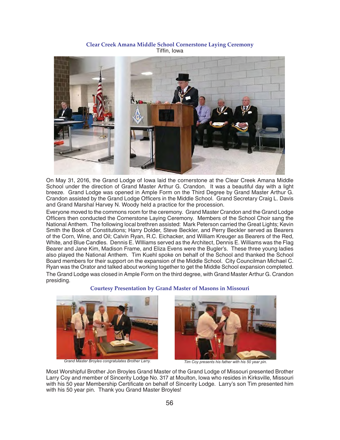**Clear Creek Amana Middle School Cornerstone Laying Ceremony** Tiffin, Iowa



On May 31, 2016, the Grand Lodge of Iowa laid the cornerstone at the Clear Creek Amana Middle School under the direction of Grand Master Arthur G. Crandon. It was a beautiful day with a light breeze. Grand Lodge was opened in Ample Form on the Third Degree by Grand Master Arthur G. Crandon assisted by the Grand Lodge Officers in the Middle School. Grand Secretary Craig L. Davis and Grand Marshal Harvey N. Woody held a practice for the procession.

Everyone moved to the commons room for the ceremony. Grand Master Crandon and the Grand Lodge Officers then conducted the Cornerstone Laying Ceremony. Members of the School Choir sang the National Anthem. The following local brethren assisted: Mark Peterson carried the Great Lights; Kevin Smith the Book of Constitutions; Harry Dolder, Steve Beckler, and Perry Beckler served as Bearers of the Corn, Wine, and Oil; Calvin Ryan, R.C. Eichacker, and William Kreuger as Bearers of the Red, White, and Blue Candles. Dennis E. WIlliams served as the Architect, Dennis E. Williams was the Flag Bearer and Jane Kim, Madison Frame, and Eliza Evens were the Bugler's. These three young ladies also played the National Anthem. Tim Kuehl spoke on behalf of the School and thanked the School Board members for their support on the expansion of the Middle School. City Councilman Michael C. Ryan was the Orator and talked about working together to get the Middle School expansion completed. The Grand Lodge was closed in Ample Form on the third degree, with Grand Master Arthur G. Crandon presiding.





*Grand Master Broyles congratulates Brother Larry. Tim Coy presents his father with his 50 year pin.*



Most Worshipful Brother Jon Broyles Grand Master of the Grand Lodge of Missouri presented Brother Larry Coy and member of Sincerity Lodge No. 317 at Moulton, Iowa who resides in Kirksville, Missouri with his 50 year Membership Certificate on behalf of Sincerity Lodge. Larry's son Tim presented him with his 50 year pin. Thank you Grand Master Broyles!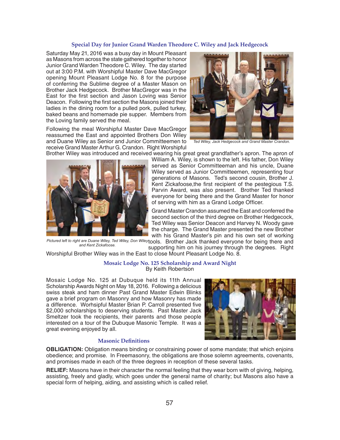#### **Special Day for Junior Grand Warden Theodore C. Wiley and Jack Hedgecock**

Saturday May 21, 2016 was a busy day in Mount Pleasant as Masons from across the state gathered together to honor Junior Grand Warden Theodore C. Wiley. The day started out at 3:00 P.M. with Worshipful Master Dave MacGregor opening Mount Pleasant Lodge No. 8 for the purpose of conferring the Sublime degree of a Master Mason on Brother Jack Hedgecock. Brother MacGregor was in the East for the first section and Jason Loving was Senior Deacon. Following the first section the Masons joined their ladies in the dining room for a pulled pork, pulled turkey, baked beans and homemade pie supper. Members from the Loving family served the meal.

Following the meal Worshipful Master Dave MacGregor reassumed the East and appointed Brothers Don Wiley and Duane Wiley as Senior and Junior Committeemen to receive Grand Master Arthur G. Crandon. Right Worshipful



*Ted Wiley, Jack Hedgecock and Grand Master Crandon.*

Brother Wiley was introduced and received wearing his great great grandfather's apron. The apron of



William A. Wiley, is shown to the left. His father, Don Wiley served as Senior Committeeman and his uncle, Duane Wiley served as Junior Committeemen, representing four generations of Masons. Ted's second cousin, Brother J. Kent Zickafoose, the first recipient of the pestegious T.S. Parvin Award, was also present. Brother Ted thanked everyone for being there and the Grand Master for honor of serving with him as a Grand Lodge Officer.

Grand Master Crandon assumed the East and conferred the second section of the third degree on Brother Hedgecock, Ted Wiley was Senior Deacon and Harvey N. Woody gave the charge. The Grand Master presented the new Brother with his Grand Master's pin and his own set of working

Pictured left to right are Duane Wiley, Ted Wiley, Don Wileytools. Brother Jack thanked everyone for being there and supporting him on his journey through the degrees. Right *and Kent Zickafoose.*

Worshipful Brother Wiley was in the East to close Mount Pleasant Lodge No. 8.

# **Mosaic Lodge No. 125 Scholarship and Award Night** By Keith Robertson

Mosaic Lodge No. 125 at Dubuque held its 11th Annual Scholarship Awards Night on May 18, 2016. Following a delicious swiss steak and ham dinner Past Grand Master Edwin Blinks gave a brief program on Masonry and how Masonry has made a difference. Worhsipful Master Brian P. Carroll presented five \$2,000 scholarships to deserving students. Past Master Jack Smeltzer took the recipients, their parents and those people interested on a tour of the Dubuque Masonic Temple. It was a great evening enjoyed by all.



#### **Masonic Definitions**

**OBLIGATION:** Obligation means binding or constraining power of some mandate; that which enjoins obedience; and promise. In Freemasonry, the obligations are those solemn agreements, covenants, and promises made in each of the three degrees in reception of these several tasks.

**RELIEF:** Masons have in their character the normal feeling that they wear born with of giving, helping, assisting, freely and gladly, which goes under the general name of charity; but Masons also have a special form of helping, aiding, and assisting which is called relief.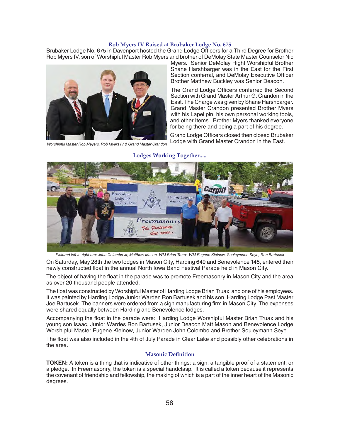# **Rob Myers IV Raised at Brubaker Lodge No. 675**

Brubaker Lodge No. 675 in Davenport hosted the Grand Lodge Officers for a Third Degree for Brother Rob Myers IV, son of Worshipful Master Rob Myers and brother of DeMolay State Master Counselor Nic



*Worshipful Master Rob Meyers, Rob Myers IV & Grand Master Crandon*

Myers. Senior DeMolay Right Worshipful Brother Shane Harshbarger was in the East for the First Section conferral, and DeMolay Executive Officer Brother Matthew Buckley was Senior Deacon.

The Grand Lodge Officers conferred the Second Section with Grand Master Arthur G. Crandon in the East. The Charge was given by Shane Harshbarger. Grand Master Crandon presented Brother Myers with his Lapel pin, his own personal working tools, and other Items. Brother Myers thanked everyone for being there and being a part of his degree.

Grand Lodge Officers closed then closed Brubaker Lodge with Grand Master Crandon in the East.

# **Lodges Working Together.....**



*Pictured left to right are: John Columbo Jr, Matthew Mason, WM Brian Truex, WM Eugene Kleinow, Souleymann Seye, Ron Bartusek* 

On Saturday, May 28th the two lodges in Mason City, Harding 649 and Benevolence 145, entered their newly constructed float in the annual North Iowa Band Festival Parade held in Mason City.

The object of having the float in the parade was to promote Freemasonry in Mason City and the area as over 20 thousand people attended.

The float was constructed by Worshipful Master of Harding Lodge Brian Truax and one of his employees. It was painted by Harding Lodge Junior Warden Ron Bartusek and his son, Harding Lodge Past Master Joe Bartusek. The banners were ordered from a sign manufacturing firm in Mason City. The expenses were shared equally between Harding and Benevolence lodges.

Accompanying the float in the parade were: Harding Lodge Worshipful Master Brian Truax and his young son Isaac, Junior Wardes Ron Bartusek, Junior Deacon Matt Mason and Benevolence Lodge Worshipful Master Eugene Kleinow, Junior Warden John Colombo and Brother Souleymann Seye.

The float was also included in the 4th of July Parade in Clear Lake and possibly other celebrations in the area.

# **Masonic Definition**

**TOKEN:** A token is a thing that is indicative of other things; a sign; a tangible proof of a statement; or a pledge. In Freemasonry, the token is a special handclasp. It is called a token because it represents the covenant of friendship and fellowship, the making of which is a part of the inner heart of the Masonic degrees.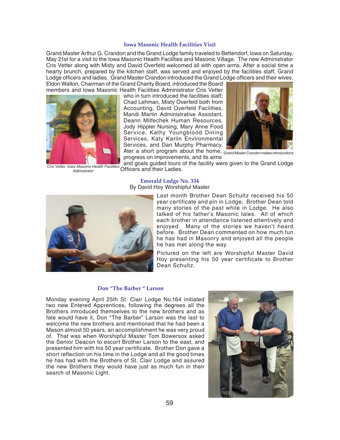### **Iowa Masonic Health Facilities Visit**

Grand Master Arthur G. Crandon and the Grand Lodge family traveled to Bettendorf, Iowa on Saturday, May 21st for a visit to the Iowa Masonic Health Facilities and Masonic Village. The new Administrator Cris Vetter along with Misty and David Overfeld welcomed all with open arms. After a social time a hearty brunch, prepared by the kitchen staff, was served and enjoyed by the facilities staff, Grand Lodge officers and ladies. Grand Master Crandon introduced the Grand Lodge officers and their wives. Eldon Walton, Chairman of the Grand Charity Board, introduced the Board

who in turn introduced the facilities staff: Chad Lehman, Misty Overfeld both from Accounting, David Overfeld Facilities, Mandi Martin Administrative Assistant, Deann Milfechek Human Resources, Jody Hippler Nursing, Mary Anne Food Service, Kathy Youngblood Dining Services, Katy Karlin Environmental Services, and Dan Murphy Pharmacy. Ater a short program about the home, *Grand Master Crandon makes introductions*



progress on improvements, and its aims and goals guided tours of the facility were given to the Grand Lodge

Officers and their Ladies. *Cris Vetter, Iowa Masonic Health Facilities Adimistrator*

#### **Emerald Lodge No. 334** By David Hoy Worshipful Master



Last month Brother Dean Schultz received his 50 year certificate and pin in Lodge. Brother Dean told many stories of the past while in Lodge. He also talked of his father's Masonic tales. All of which each brother in attendance listened attentively and enjoyed. Many of the stories we haven't heard before. Brother Dean commented on how much fun he has had in Masonry and enjoyed all the people he has met along the way.

Pictured on the left are Worshipful Master David Hoy presenting his 50 year certificate to Brother Dean Schultz.

#### **Don "The Barber " Larson**

Monday evening April 25th St. Clair Lodge No.164 initiated two new Entered Apprentices, following the degrees all the Brothers introduced themselves to the new brothers and as fate would have it, Don "The Barber" Larson was the last to welcome the new brothers and mentioned that he had been a Mason almost 50 years, an accomplishment he was very proud of. That was when Worshipful Master Tom Bowersox asked the Senior Deacon to escort Brother Larson to the east, and presented him with his 50 year certificate. Brother Don gave a short reflection on his time in the Lodge and all the good times he has had with the Brothers of St. Clair Lodge and assured the new Brothers they would have just as much fun in their search of Masonic Light.

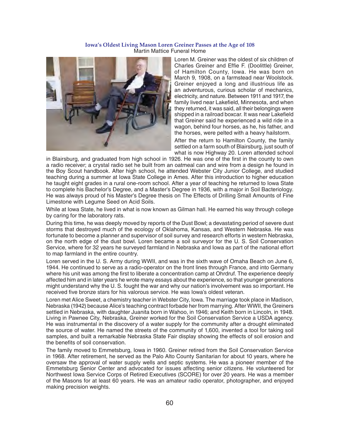### **Iowa's Oldest Living Mason Loren Greiner Passes at the Age of 108** Martin Mattice Funeral Home



Loren M. Greiner was the oldest of six children of Charles Greiner and Effie F. (Doolittle) Greiner, of Hamilton County, Iowa. He was born on March 9, 1908, on a farmstead near Woolstock. Greiner enjoyed a long and illustrious life as an adventurous, curious scholar of mechanics, electricity, and nature. Between 1911 and 1917, the family lived near Lakefield, Minnesota, and when they returned, it was said, all their belongings were shipped in a railroad boxcar. It was near Lakefield that Greiner said he experienced a wild ride in a wagon, behind four horses, as he, his father, and the horses, were pelted with a heavy hailstorm.

After the return to Hamilton County, the family settled on a farm south of Blairsburg, just south of what is now Highway 20. Loren attended school

in Blairsburg, and graduated from high school in 1926. He was one of the first in the county to own a radio receiver; a crystal radio set he built from an oatmeal can and wire from a design he found in the Boy Scout handbook. After high school, he attended Webster City Junior College, and studied teaching during a summer at Iowa State College in Ames. After this introduction to higher education he taught eight grades in a rural one-room school. After a year of teaching he returned to Iowa State to complete his Bachelor's Degree, and a Master's Degree in 1936, with a major in Soil Bacteriology. He was always proud of his Master's Degree thesis on The Effects of Drilling Small Amounts of Fine Limestone with Legume Seed on Acid Soils.

While at Iowa State, he lived in what is now known as Gilman hall. He earned his way through college by caring for the laboratory rats.

During this time, he was deeply moved by reports of the Dust Bowl; a devastating period of severe dust storms that destroyed much of the ecology of Oklahoma, Kansas, and Western Nebraska. He was fortunate to become a planner and supervisor of soil survey and research efforts in western Nebraska, on the north edge of the dust bowl. Loren became a soil surveyor for the U. S. Soil Conservation Service, where for 32 years he surveyed farmland in Nebraska and Iowa as part of the national effort to map farmland in the entire country.

Loren served in the U. S. Army during WWII, and was in the sixth wave of Omaha Beach on June 6, 1944. He continued to serve as a radio-operator on the front lines through France, and into Germany where his unit was among the first to liberate a concentration camp at Ohrdruf. The experience deeply affected him and in later years he wrote many essays about the experience, so that younger generations might understand why the U. S. fought the war and why our nation's involvement was so important. He received five bronze stars for his valorous service. He was lowa's oldest veteran.

Loren met Alice Sweet, a chemistry teacher in Webster City, Iowa. The marriage took place in Madison, Nebraska (1942) because Alice's teaching contract forbade her from marrying. After WWII, the Greiners settled in Nebraska, with daughter Juanita born in Wahoo, in 1946; and Keith born in Lincoln, in 1948. Living in Pawnee City, Nebraska, Greiner worked for the Soil Conservation Service a USDA agency. He was instrumental in the discovery of a water supply for the community after a drought eliminated the source of water. He named the streets of the community of 1,600, invented a tool for taking soil samples, and built a remarkable Nebraska State Fair display showing the effects of soil erosion and the benefits of soil conservation.

The family moved to Emmetsburg, Iowa in 1960. Greiner retired from the Soil Conservation Service in 1968. After retirement, he served as the Palo Alto County Sanitarian for about 10 years, where he oversaw the approval of water supply wells and septic systems. He was a pioneer member of the Emmetsburg Senior Center and advocated for issues affecting senior citizens. He volunteered for Northwest Iowa Service Corps of Retired Executives (SCORE) for over 20 years. He was a member of the Masons for at least 60 years. He was an amateur radio operator, photographer, and enjoyed making precision weights.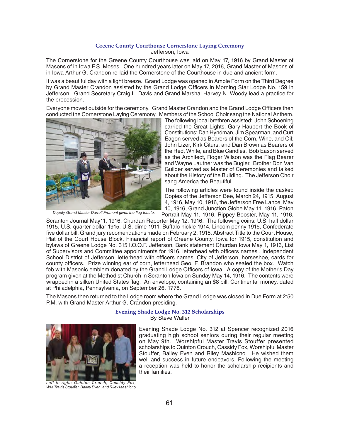# **Greene County Courthouse Cornerstone Laying Ceremony** Jefferson, Iowa

The Cornerstone for the Greene County Courthouse was laid on May 17, 1916 by Grand Master of Masons of in Iowa F.S. Moses. One hundred years later on May 17, 2016, Grand Master of Masons of in Iowa Arthur G. Crandon re-laid the Cornerstone of the Courthouse in due and ancient form.

It was a beautiful day with a light breeze. Grand Lodge was opened in Ample Form on the Third Degree by Grand Master Crandon assisted by the Grand Lodge Officers in Morning Star Lodge No. 159 in Jefferson. Grand Secretary Craig L. Davis and Grand Marshal Harvey N. Woody lead a practice for the procession.

Everyone moved outside for the ceremony. Grand Master Crandon and the Grand Lodge Officers then conducted the Cornerstone Laying Ceremony. Members of the School Choir sang the National Anthem.



The following local brethren assisted: John Schoening carried the Great Lights; Gary Haupert the Book of Constitutions; Dan Hyndman, Jim Spearman, and Curt Eagon served as Bearers of the Corn, Wine, and Oil; John Lizer, Kirk Citurs, and Dan Brown as Bearers of the Red, White, and Blue Candles. Bob Eason served as the Architect, Roger Wilson was the Flag Bearer and Wayne Lautner was the Bugler. Brother Don Van Guilder served as Master of Ceremonies and talked about the History of the Building. The Jefferson Choir sang America the Beautiful.

The following articles were found inside the casket: Copies of the Jefferson Bee, March 24, 1915, August 4, 1916, May 10, 1916, the Jefferson Free Lance, May 10, 1916, Grand Junction Globe May 11, 1916, Paton

Portrait May 11, 1916, Rippey Booster, May 11, 1916, Scranton Journal May11, 1916, Churdan Reporter May 12, 1916. The following coins: U.S. half dollar 1915, U.S. quarter dollar 1915, U.S. dime 1911, Buffalo nickle 1914, Lincoln penny 1915, Confederate five dollar bill, Grand jury recomendations made on February 2, 1915, Abstract Title to the Court House, Plat of the Court House Block, Financial report of Greene County, Iowa for 1915, constitution and bylaws of Greene Lodge No. 315 I.O.O.F. Jefferson, Bank statement Churdan Iowa May 1, 1916, List of Supervisors and Committee appointments for 1916, letterhead with officers names, Independent School District of Jefferson, letterhead with officers names, City of Jefferson, horseshoe, cards for county officers. Prize winning ear of corn, letterhead Geo. F. Brandon who sealed the box. Watch fob with Masonic emblem donated by the Grand Lodge Officers of Iowa. A copy of the Mother's Day program given at the Methodist Church in Scranton Iowa on Sunday May 14, 1916. The contents were wrapped in a silken United States flag. An envelope, containing an \$8 bill, Continental money, dated at Philadelphia, Pennsylvania, on September 26, 1778.

The Masons then returned to the Lodge room where the Grand Lodge was closed in Due Form at 2:50 P.M. with Grand Master Arthur G. Crandon presiding.

### **Evening Shade Lodge No. 312 Scholarships** By Steve Waller



*Left to right: Quinton Crouch, Cassidy Fox, WM Travis Stouff er, Bailey Even, and Riley Mashicno*

Evening Shade Lodge No. 312 at Spencer recognized 2016 graduating high school seniors during their regular meeting on May 9th. Worshipful Master Travis Stouffer presented scholarships to Quinton Crouch, Cassidy Fox, Worshipful Master Stouffer, Bailey Even and Riley Mashicno. He wished them well and success in future endeavors. Following the meeting a reception was held to honor the scholarship recipients and their families.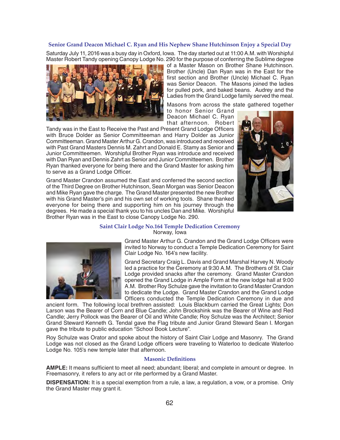### **Senior Grand Deacon Michael C. Ryan and His Nephew Shane Hutchinson Enjoy a Special Day**

Saturday July 11, 2016 was a busy day in Oxford, Iowa. The day started out at 11:00 A.M. with Worshipful Master Robert Tandy opening Canopy Lodge No. 290 for the purpose of conferring the Sublime degree



of a Master Mason on Brother Shane Hutchinson. Brother (Uncle) Dan Ryan was in the East for the first section and Brother (Uncle) Michael C. Ryan was Senior Deacon. The Masons joined the ladies for pulled pork, and baked beans. Audrey and the Ladies from the Grand Lodge family served the meal.

Masons from across the state gathered together to honor Senior Grand Deacon Michael C. Ryan

that afternoon. Robert

Tandy was in the East to Receive the Past and Present Grand Lodge Officers with Bruce Dolder as Senior Committeeman and Harry Dolder as Junior Committeeman. Grand Master Arthur G. Crandon, was introduced and received with Past Grand Masters Dennis M. Zahrt and Donald E. Stamy as Senior and Junior Committeemen. Worshipful Brother Ryan was introduce and received with Dan Ryan and Dennis Zahrt as Senior and Junior Committeemen. Brother Ryan thanked everyone for being there and the Grand Master for asking him to serve as a Grand Lodge Officer.

Grand Master Crandon assumed the East and conferred the second section of the Third Degree on Brother Hutchinson, Sean Morgan was Senior Deacon and Mike Ryan gave the charge. The Grand Master presented the new Brother with his Grand Master's pin and his own set of working tools. Shane thanked everyone for being there and supporting him on his journey through the degrees. He made a special thank you to his uncles Dan and Mike. Worshipful Brother Ryan was in the East to close Canopy Lodge No. 290.



#### **Saint Clair Lodge No.164 Temple Dedication Ceremony** Norway, Iowa



Grand Master Arthur G. Crandon and the Grand Lodge Officers were invited to Norway to conduct a Temple Dedication Ceremony for Saint Clair Lodge No. 164's new facility.

Grand Secretary Craig L. Davis and Grand Marshal Harvey N. Woody led a practice for the Ceremony at 9:30 A.M. The Brothers of St. Clair Lodge provided snacks after the ceremony. Grand Master Crandon opened the Grand Lodge in Ample Form at the new lodge hall at 9:00 A.M. Brother Roy Schulze gave the invitation to Grand Master Crandon to dedicate the Lodge. Grand Master Crandon and the Grand Lodge Officers conducted the Temple Dedication Ceremony in due and

ancient form. The following local brethren assisted: Louis Blackburn carried the Great Lights; Don Larson was the Bearer of Corn and Blue Candle; John Brockshink was the Bearer of Wine and Red Candle; Jerry Pollock was the Bearer of Oil and White Candle; Roy Schulze was the Architect; Senior Grand Steward Kenneth G. Tendal gave the Flag tribute and Junior Grand Steward Sean I. Morgan gave the tribute to public education "School Book Lecture".

Roy Schulze was Orator and spoke about the history of Saint Clair Lodge and Masonry. The Grand Lodge was not closed as the Grand Lodge officers were traveling to Waterloo to dedicate Waterloo Lodge No. 105's new temple later that afternoon.

#### **Masonic Definitions**

**AMPLE:** It means sufficient to meet all need; abundant; liberal; and complete in amount or degree. In Freemasonry, it refers to any act or rite performed by a Grand Master.

**DISPENSATION:** It is a special exemption from a rule, a law, a regulation, a vow, or a promise. Only the Grand Master may grant it.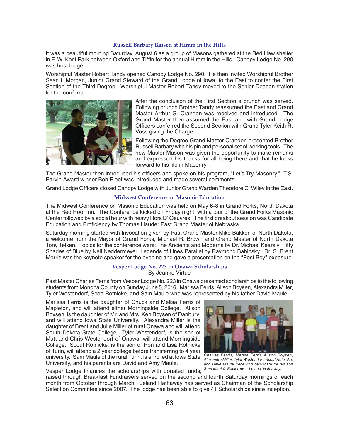# **Russell Barbary Raised at Hiram in the Hills**

It was a beautiful morning Saturday, August 6 as a group of Masons gathered at the Red Haw shelter in F. W. Kent Park between Oxford and Tiffin for the annual Hiram in the Hills. Canopy Lodge No. 290 was host lodge.

Worshipful Master Robert Tandy opened Canopy Lodge No. 290. He then invited Worshipful Brother Sean I. Morgan, Junior Grand Steward of the Grand Lodge of Iowa, to the East to confer the First Section of the Third Degree. Worshipful Master Robert Tandy moved to the Senior Deacon station for the conferral.



After the conclusion of the First Section a brunch was served. Following brunch Brother Tandy reassumed the East and Grand Master Arthur G. Crandon was received and introduced. The Grand Master then assumed the East and with Grand Lodge Officers conferred the Second Section with Grand Tyler Keith R. Voss giving the Charge.

Following the Degree Grand Master Crandon presented Brother Russell Barbary with his pin and personal set of working tools. The new Master Mason was given the opportunity to make remarks and expressed his thanks for all being there and that he looks forward to his life in Masonry.

The Grand Master then introduced his officers and spoke on his program, "Let's Try Masonry." T.S. Parvin Award winner Ben Ploof was introduced and made several comments.

Grand Lodge Officers closed Canopy Lodge with Junior Grand Warden Theodore C. Wiley in the East.

# **Midwest Conference on Masonic Education**

The Midwest Conference on Masonic Education was held on May 6-8 in Grand Forks, North Dakota at the Red Roof Inn. The Conference kicked off Friday night with a tour of the Grand Forks Masonic Center followed by a social hour with heavy Hors D' Oeuvres. The first breakout session was Candidate Education and Proficiency by Thomas Hauder Past Grand Master of Nebraska.

Saturday morning started with Invocation given by Past Grand Master Mike Bakken of North Dakota, a welcome from the Mayor of Grand Forks, Michael R. Brown and Grand Master of North Dakota Tony Telken. Topics for the conference were: The Ancients and Moderns by Dr. Michael Kearsly; Fifty Shades of Blue by Neil Neddermeyer; Legends of Lines Parallel by Raymond Babinsky. Dr. S. Brent Morris was the keynote speaker for the evening and gave a presentation on the "Post Boy" exposure.

#### **Vesper Lodge No. 223 in Onawa Scholarships** By Jeanne Virtue

Past Master Charles Ferris from Vesper Lodge No. 223 in Onawa presented scholarships to the following students from Monona County on Sunday June 5, 2016. Marissa Ferris, Alison Boysen, Alexandra Miller, Tyler Westendorf, Scott Rotnicke, and Sam Maule who was represented by his father David Maule.

Marissa Ferris is the daughter of Chuck and Melisa Ferris of Mapleton, and will attend either Morningside College. Alison Boysen, is the daughter of Mr. and Mrs. Ken Boysen of Danbury, and will attend Iowa State University. Alexandra Miller is the daughter of Brent and Julie Miller of rural Onawa and will attend South Dakota State College. Tyler Westendorf, is the son of Matt and Chris Westendorf of Onawa, will attend Morningside College. Scout Rotnicke, is the son of Ron and Lisa Rotnicke of Turin, will attend a 2 year college before transferring to 4 year university. Sam Maule of the rural Turin, is enrolled at Iowa State University, and his parents are David and Amy Maule.



*Charles Ferris, Marisa Ferris Alison Boysen, Alexandra Miller, Tyler Westendorf, Scout Rotnicke,*  and Dave Maule (receiving certificate for his son

Vesper Lodge finances the scholarships with donated funds; <sup>Sam Maule) Back row – Leland Hathaway.</sup> raised through Breakfast Fundraisers served on the second and fourth Saturday mornings of each month from October through March. Leland Hathaway has served as Chairman of the Scholarship Selection Committee since 2007. The lodge has been able to give 41 Scholarships since inception.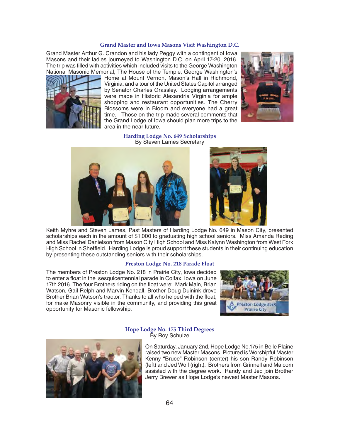#### **Grand Master and Iowa Masons Visit Washington D.C.**

Grand Master Arthur G. Crandon and his lady Peggy with a contingent of Iowa Masons and their ladies journeyed to Washington D.C. on April 17-20, 2016. The trip was filled with activities which included visits to the George Washington National Masonic Memorial, The House of the Temple, George Washington's



Home at Mount Vernon, Mason's Hall in Richmond, Virginia, and a tour of the United States Capitol arranged by Senator Charles Grassley. Lodging arrangements were made in Historic Alexandria Virginia for ample shopping and restaurant opportunities. The Cherry Blossoms were in Bloom and everyone had a great time. Those on the trip made several comments that the Grand Lodge of Iowa should plan more trips to the area in the near future.



**Harding Lodge No. 649 Scholarships** By Steven Lames Secretary





Keith Myhre and Steven Lames, Past Masters of Harding Lodge No. 649 in Mason City, presented scholarships each in the amount of \$1,000 to graduating high school seniors. Miss Amanda Reding and Miss Rachel Danielson from Mason City High School and Miss Kalynn Washington from West Fork High School in Sheffield. Harding Lodge is proud support these students in their continuing education by presenting these outstanding seniors with their scholarships.

#### **Preston Lodge No. 218 Parade Float**

The members of Preston Lodge No. 218 in Prairie City, Iowa decided to enter a float in the sesquicentennial parade in Colfax, Iowa on June 17th 2016. The four Brothers riding on the float were: Mark Main, Brian Watson, Gail Relph and Marvin Kendall. Brother Doug Duinink drove Brother Brian Watson's tractor. Thanks to all who helped with the float, for make Masonry visible in the community, and providing this great opportunity for Masonic fellowship.



#### **Hope Lodge No. 175 Third Degrees** By Roy Schulze



On Saturday, January 2nd, Hope Lodge No.175 in Belle Plaine raised two new Master Masons. Pictured is Worshipful Master Kenny "Bruce" Robinson (center) his son Randy Robinson (left) and Jed Wolf (right). Brothers from Grinnell and Malcom assisted with the degree work. Randy and Jed join Brother Jerry Brewer as Hope Lodge's newest Master Masons.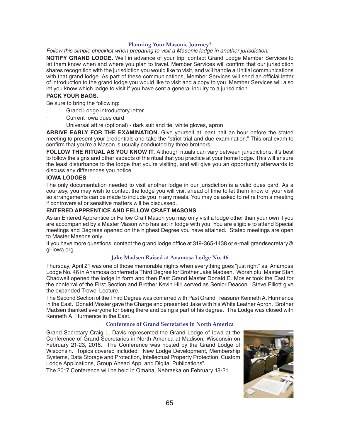# **Planning Your Masonic Journey?**

*Follow this simple checklist when preparing to visit a Masonic lodge in another jurisdiction:*

**NOTIFY GRAND LODGE.** Well in advance of your trip, contact Grand Lodge Member Services to let them know when and where you plan to travel. Member Services will confirm that our jurisdiction shares recognition with the jurisdiction you would like to visit, and will handle all initial communications with that grand lodge. As part of these communications, Member Services will send an official letter of introduction to the grand lodge you would like to visit and a copy to you. Member Services will also let you know which lodge to visit if you have sent a general inquiry to a jurisdiction.

# **PACK YOUR BAGS.**

Be sure to bring the following:

- Grand Lodge introductory letter
- Current Iowa dues card
- · Universal attire (optional) dark suit and tie, white gloves, apron

**ARRIVE EARLY FOR THE EXAMINATION.** Give yourself at least half an hour before the stated meeting to present your credentials and take the "strict trial and due examination." This oral exam to confirm that you're a Mason is usually conducted by three brothers.

**FOLLOW THE RITUAL AS YOU KNOW IT.** Although rituals can vary between jurisdictions, it's best to follow the signs and other aspects of the ritual that you practice at your home lodge. This will ensure the least disturbance to the lodge that you're visiting, and will give you an opportunity afterwards to discuss any differences you notice.

# **IOWA LODGES**

The only documentation needed to visit another lodge in our jurisdiction is a valid dues card. As a courtesy, you may wish to contact the lodge you will visit ahead of time to let them know of your visit so arrangements can be made to include you in any meals. You may be asked to retire from a meeting if controversial or sensitive matters will be discussed.

# **ENTERED APPRENTICE AND FELLOW CRAFT MASONS**

As an Entered Apprentice or Fellow Craft Mason you may only visit a lodge other than your own if you are accompanied by a Master Mason who has sat in lodge with you. You are eligible to attend Special meetings and Degrees opened on the highest Degree you have attained. Stated meetings are open to Master Masons only.

If you have more questions, contact the grand lodge office at 319-365-1438 or e-mail grandsecretary@ gl-iowa.org.

# **Jake Madsen Raised at Anamosa Lodge No. 46**

Thursday, April 21 was one of those memorable nights when everything goes "just right" as Anamosa Lodge No. 46 in Anamosa conferred a Third Degree for Brother Jake Madsen. Worshipful Master Stan Chadwell opened the lodge in form and then Past Grand Master Donald E. Mosier took the East for the conferral of the First Section and Brother Kevin Hirl served as Senior Deacon. Steve Elliott give the expanded Trowel Lecture.

The Second Section of the Third Degree was conferred with Past Grand Treasurer Kenneth A. Hurmence in the East. Donald Mosier gave the Charge and presented Jake with his White Leather Apron. Brother Madsen thanked everyone for being there and being a part of his degree. The Lodge was closed with Kenneth A. Hurmence in the East.

# **Conference of Grand Secretaries in North America**

Grand Secretary Craig L. Davis represented the Grand Lodge of Iowa at the Conference of Grand Secretaries in North America at Madison, Wisconsin on February 21-23, 2016. The Conference was hosted by the Grand Lodge of Wisconsin. Topics covered included: "New Lodge Development, Membership Systems, Data Storage and Protection, Intellectual Property Protection, Custom Lodge Applications, Group Ahead App, and Digital Publications".

The 2017 Conference will be held in Omaha, Nebraska on February 18-21.

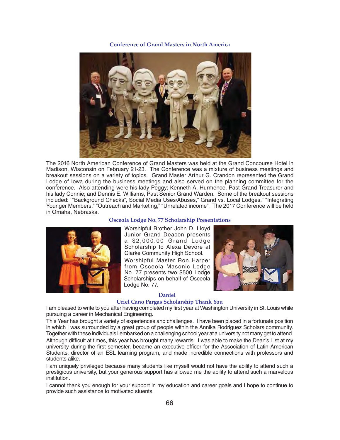**Conference of Grand Masters in North America**



The 2016 North American Conference of Grand Masters was held at the Grand Concourse Hotel in Madison, Wisconsin on February 21-23. The Conference was a mixture of business meetings and breakout sessions on a variety of topics. Grand Master Arthur G. Crandon represented the Grand Lodge of Iowa during the business meetings and also served on the planning committee for the conference. Also attending were his lady Peggy; Kenneth A. Hurmence, Past Grand Treasurer and his lady Connie; and Dennis E. Williams, Past Senior Grand Warden. Some of the breakout sessions included: "Background Checks", Social Media Uses/Abuses," Grand vs. Local Lodges," "Integrating Younger Members," "Outreach and Marketing," "Unrelated income". The 2017 Conference will be held in Omaha, Nebraska.

# **Osceola Lodge No. 77 Scholarship Presentations**



students alike.

Worshipful Brother John D. Lloyd Junior Grand Deacon presents a \$2,000.00 Grand Lodge Scholarship to Alexa Devore at Clarke Community High School.

Worshipful Master Ron Harper from Osceola Masonic Lodge No. 77 presents two \$500 Lodge Scholarships on behalf of Osceola Lodge No. 77.



# **Daniel**

# **Uriel Cano Pargas Scholarship Thank You**

I am pleased to write to you after having completed my first year at Washington University in St. Louis while pursuing a career in Mechanical Engineering.

This Year has brought a variety of experiences and challenges. I have been placed in a fortunate position in which I was surrounded by a great group of people within the Annika Rodriguez Scholars community. Together with these individuals I embarked on a challenging school year at a university not many get to attend. Although difficult at times, this year has brought many rewards. I was able to make the Dean's List at my university during the first semester, became an executive officer for the Association of Latin American Students, director of an ESL learning program, and made incredible connections with professors and

I am uniquely privileged because many students like myself would not have the ability to attend such a prestigious university, but your generous support has allowed me the ability to attend such a marvelous institution.

I cannot thank you enough for your support in my education and career goals and I hope to continue to provide such assistance to motivated stuents.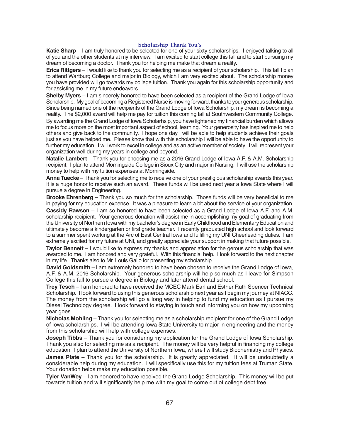# **Scholarship Thank You's**

**Katie Sharp** – I am truly honored to be selected for one of your sixty scholarships. I enjoyed talking to all of you and the other students at my interview. I am excited to start college this fall and to start pursuing my dream of becoming a doctor. Thank you for helping me make that dream a reality.

**Erica Rittgers** – I would like to thank you for selecting me as a recipient of your scholarship. This fall I plan to attend Wartburg College and major in Biology, which I am very excited about. The scholarship money you have provided will go towards my college tuition. Thank you again for this scholarship opportunity and for assisting me in my future endeavors.

**Shelby Myers** – I am sincerely honored to have been selected as a recipient of the Grand Lodge of Iowa Scholarship. My goal of becoming a Registered Nurse is moving forward, thanks to your generous scholarship. Since being named one of the recipients of the Grand Lodge of Iowa Scholarship, my dream is becoming a reality. The \$2,000 award will help me pay for tuition this coming fall at Southwestern Community College.

By awarding me the Grand Lodge of Iowa Scholarhsip, you have lightened my financial burden which allows me to focus more on the most important aspect of school, learning. Your generosity has inspired me to help others and give back to the community. I hope one day I will be able to help students achieve their goals just as you have helped me. Please know that with this scholarship I will be able to have the opportunity to further my education. I will work to excel in college and as an active member of society. I will represent your organization well during my years in college and beyond.

**Natalie Lambert** – Thank you for choosing me as a 2016 Grand Lodge of Iowa A.F. & A.M. Scholarship recipient. I plan to attend Morningside College in Sioux City and major in Nursing. I will use the scholarship money to help with my tuition expenses at Morningside.

**Anna Tuecke** – Thank you for selecting me to receive one of your prestigious scholarship awards this year. It is a huge honor to receive such an award. These funds will be used next year a lowa State where I will pursue a degree in Engineering.

**Brooke Ehrenberg** – Thank you so much for the scholarship. Those funds will be very beneficial to me in paying for my education expense. It was a pleasure to learn a bit about the service of your organization.

**Cassidy Rawson** – I am so honored to have been selected as a Grand Lodge of Iowa A.F. and A.M. scholarship recipient. Your generous donation will assist me in accomplishing my goal of graduating from the University of Northern Iowa with my bachelor's degree in Early Childhood and Elementary Education and ultimately become a kindergarten or first grade teacher. I recently graduated high school and look forward to a summer spent working at the Arc of East Central lowa and fulfilling my UNI Cheerleading duties. I am extremely excited for my future at UNI, and greatly appreciate your support in making that future possible.

**Taylor Bennett** – I would like to express my thanks and appreciation for the gerous scholarship that was awarded to me. I am honored and very grateful. With this financial help. I look forward to the next chapter in my life. Thanks also to Mr. Louis Gallo for presenting my scholarship.

**David Goldsmith** – I am extremely honored to have been chosen to receive the Grand Lodge of Iowa, A.F. & A.M. 2016 Scholarship. Your generous scholarship will help so much as I leave for Simpson College this fall to pursue a degree in Biology and later attend dental school.

**Trey Tesch** – I am honored to have received the MCEC Mark Earl and Esther Ruth Spencer Technical Scholarship. I look forward to using this generous scholarship next year as I begin my journey at NIACC. The money from the scholarship will go a long way in helping to fund my education as I pursue my Diesel Technology degree. I look forward to staying in touch and informing you on how my upcoming year goes.

**Nicholas Mohling** – Thank you for selecting me as a scholarship recipient for one of the Grand Lodge of Iowa scholarships. I will be attending Iowa State University to major in engineering and the money from this scholarship will help with college expenses.

**Joseph Tibbs** – Thank you for considering my application for the Grand Lodge of Iowa Scholarship. Thank you also for selecting me as a recipient. The money will be very helpful in financing my college education. I plan to attend the University of Northern Iowa, where I will study Biochemistry and Physics.

**James Plate** – Thank you for the scholarship. It is greatly appreciated. It will be undoubtedly a considerable help during my education. I will specifically use this for my tuition fees at Truman State. Your donation helps make my education possible.

**Tyler VanWey** – I am honored to have received the Grand Lodge Scholarship. This money will be put towards tuition and will significantly help me with my goal to come out of college debt free.